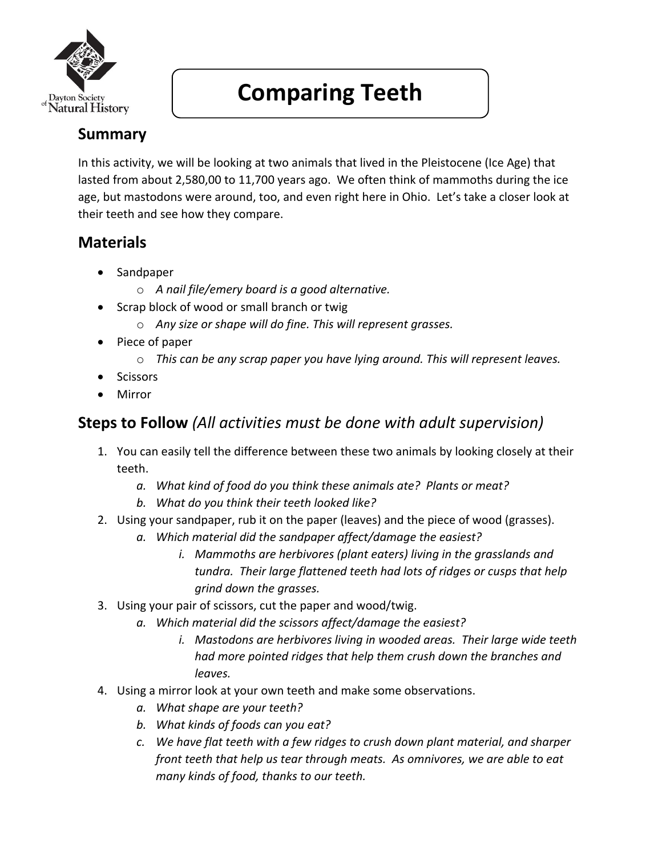

# **Comparing Teeth**

# **Summary**

In this activity, we will be looking at two animals that lived in the Pleistocene (Ice Age) that lasted from about 2,580,00 to 11,700 years ago. We often think of mammoths during the ice age, but mastodons were around, too, and even right here in Ohio. Let's take a closer look at their teeth and see how they compare.

#### **Materials**

- Sandpaper
	- o *A nail file/emery board is a good alternative.*
- Scrap block of wood or small branch or twig
	- o *Any size or shape will do fine. This will represent grasses.*
- Piece of paper
	- o *This can be any scrap paper you have lying around. This will represent leaves.*
- Scissors
- Mirror

# **Steps to Follow** *(All activities must be done with adult supervision)*

- 1. You can easily tell the difference between these two animals by looking closely at their teeth.
	- *a. What kind of food do you think these animals ate? Plants or meat?*
	- *b. What do you think their teeth looked like?*
- 2. Using your sandpaper, rub it on the paper (leaves) and the piece of wood (grasses).
	- *a. Which material did the sandpaper affect/damage the easiest?* 
		- *i. Mammoths are herbivores (plant eaters) living in the grasslands and tundra. Their large flattened teeth had lots of ridges or cusps that help grind down the grasses.*
- 3. Using your pair of scissors, cut the paper and wood/twig.
	- *a. Which material did the scissors affect/damage the easiest?*
		- *i. Mastodons are herbivores living in wooded areas. Their large wide teeth had more pointed ridges that help them crush down the branches and leaves.*
- 4. Using a mirror look at your own teeth and make some observations.
	- *a. What shape are your teeth?*
	- *b. What kinds of foods can you eat?*
	- *c. We have flat teeth with a few ridges to crush down plant material, and sharper front teeth that help us tear through meats. As omnivores, we are able to eat many kinds of food, thanks to our teeth.*